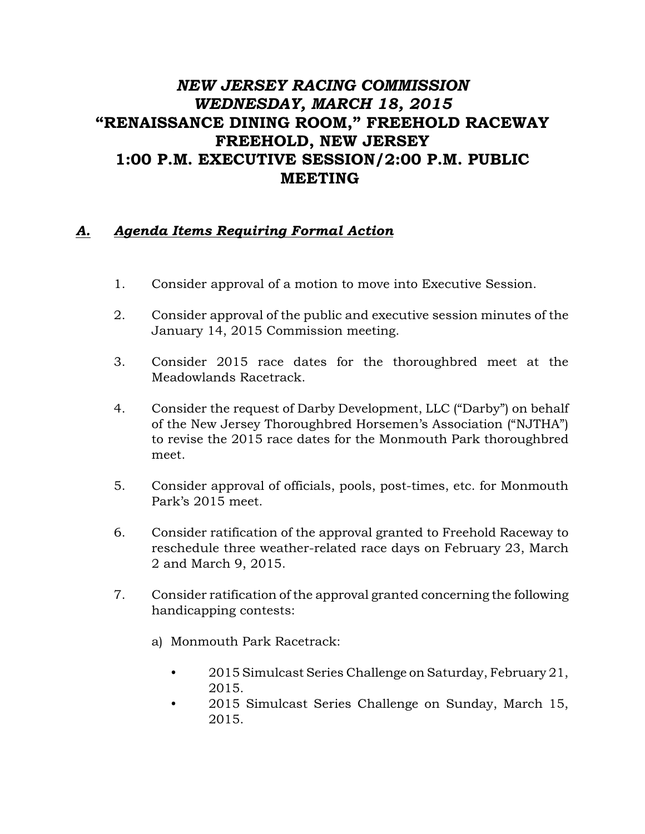## *NEW JERSEY RACING COMMISSION WEDNESDAY, MARCH 18, 2015* "RENAISSANCE DINING ROOM," FREEHOLD RACEWAY FREEHOLD, NEW JERSEY 1:00 P.M. EXECUTIVE SESSION/2:00 P.M. PUBLIC MEETING

## *A. Agenda Items Requiring Formal Action*

- 1. Consider approval of a motion to move into Executive Session.
- 2. Consider approval of the public and executive session minutes of the January 14, 2015 Commission meeting.
- 3. Consider 2015 race dates for the thoroughbred meet at the Meadowlands Racetrack.
- 4. Consider the request of Darby Development, LLC ("Darby") on behalf of the New Jersey Thoroughbred Horsemen's Association ("NJTHA") to revise the 2015 race dates for the Monmouth Park thoroughbred meet.
- 5. Consider approval of officials, pools, post-times, etc. for Monmouth Park's 2015 meet.
- 6. Consider ratification of the approval granted to Freehold Raceway to reschedule three weather-related race days on February 23, March 2 and March 9, 2015.
- 7. Consider ratification of the approval granted concerning the following handicapping contests:
	- a) Monmouth Park Racetrack:
		- 2015 Simulcast Series Challenge on Saturday, February 21, 2015.
		- 2015 Simulcast Series Challenge on Sunday, March 15, 2015.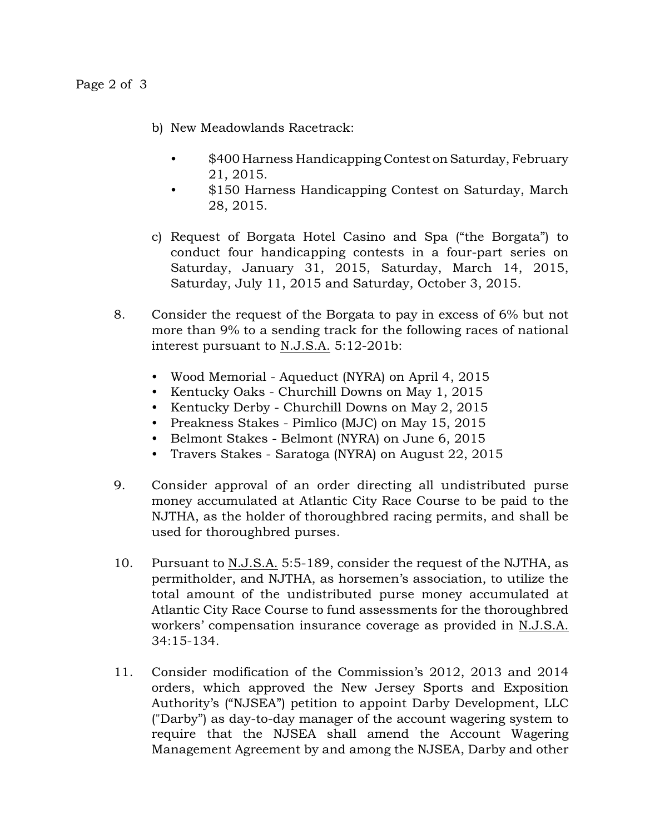- b) New Meadowlands Racetrack:
	- \$400 Harness Handicapping Contest on Saturday, February 21, 2015.
	- \$150 Harness Handicapping Contest on Saturday, March 28, 2015.
- c) Request of Borgata Hotel Casino and Spa ("the Borgata") to conduct four handicapping contests in a four-part series on Saturday, January 31, 2015, Saturday, March 14, 2015, Saturday, July 11, 2015 and Saturday, October 3, 2015.
- 8. Consider the request of the Borgata to pay in excess of 6% but not more than 9% to a sending track for the following races of national interest pursuant to N.J.S.A. 5:12-201b:
	- Wood Memorial Aqueduct (NYRA) on April 4, 2015
	- Kentucky Oaks Churchill Downs on May 1, 2015
	- Kentucky Derby Churchill Downs on May 2, 2015
	- Preakness Stakes Pimlico (MJC) on May 15, 2015
	- Belmont Stakes Belmont (NYRA) on June 6, 2015
	- Travers Stakes Saratoga (NYRA) on August 22, 2015
- 9. Consider approval of an order directing all undistributed purse money accumulated at Atlantic City Race Course to be paid to the NJTHA, as the holder of thoroughbred racing permits, and shall be used for thoroughbred purses.
- 10. Pursuant to N.J.S.A. 5:5-189, consider the request of the NJTHA, as permitholder, and NJTHA, as horsemen's association, to utilize the total amount of the undistributed purse money accumulated at Atlantic City Race Course to fund assessments for the thoroughbred workers' compensation insurance coverage as provided in N.J.S.A. 34:15-134.
- 11. Consider modification of the Commission's 2012, 2013 and 2014 orders, which approved the New Jersey Sports and Exposition Authority's ("NJSEA") petition to appoint Darby Development, LLC ("Darby") as day-to-day manager of the account wagering system to require that the NJSEA shall amend the Account Wagering Management Agreement by and among the NJSEA, Darby and other